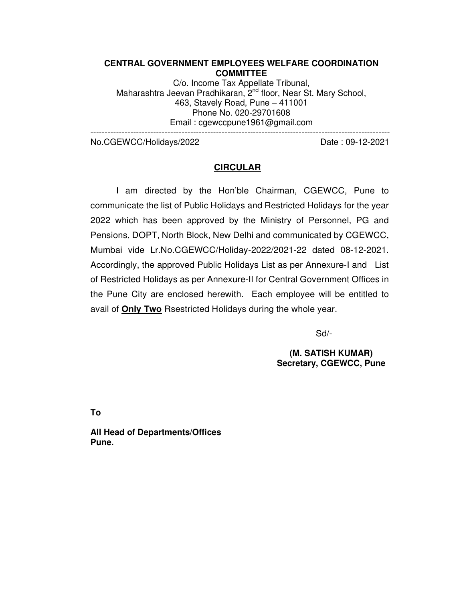### **CENTRAL GOVERNMENT EMPLOYEES WELFARE COORDINATION COMMITTEE**

C/o. Income Tax Appellate Tribunal, Maharashtra Jeevan Pradhikaran, 2<sup>nd</sup> floor, Near St. Mary School, 463, Stavely Road, Pune – 411001 Phone No. 020-29701608 Email : cgewccpune1961@gmail.com

---------------------------------------------------------------------------------------------------------

No.CGEWCC/Holidays/2022 Date: 09-12-2021

## **CIRCULAR**

I am directed by the Hon'ble Chairman, CGEWCC, Pune to communicate the list of Public Holidays and Restricted Holidays for the year 2022 which has been approved by the Ministry of Personnel, PG and Pensions, DOPT, North Block, New Delhi and communicated by CGEWCC, Mumbai vide Lr.No.CGEWCC/Holiday-2022/2021-22 dated 08-12-2021. Accordingly, the approved Public Holidays List as per Annexure-I and List of Restricted Holidays as per Annexure-II for Central Government Offices in the Pune City are enclosed herewith. Each employee will be entitled to avail of **Only Two** Rsestricted Holidays during the whole year.

Sd/-

**(M. SATISH KUMAR) Secretary, CGEWCC, Pune** 

**To** 

**All Head of Departments/Offices Pune.**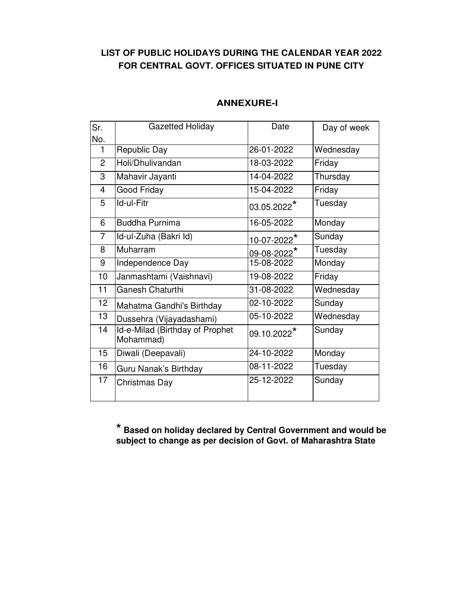# **LIST OF PUBLIC HOLIDAYS DURING THE CALENDAR YEAR 2022 FOR CENTRAL GOVT. OFFICES SITUATED IN PUNE CITY**

| Sr.            | <b>Gazetted Holiday</b>                      | Date                          | Day of week |
|----------------|----------------------------------------------|-------------------------------|-------------|
| No.            |                                              |                               |             |
| 1              | Republic Day                                 | 26-01-2022                    | Wednesday   |
| 2              | Holi/Dhulivandan                             | 18-03-2022                    | Friday      |
| 3              | Mahavir Jayanti                              | 14-04-2022                    | Thursday    |
| $\overline{4}$ | Good Friday                                  | 15-04-2022                    | Friday      |
| 5              | Id-ul-Fitr                                   | 03.05.2022*                   | Tuesday     |
| 6              | <b>Buddha Purnima</b>                        | 16-05-2022                    | Monday      |
| $\overline{7}$ | Id-ul-Zuha (Bakri Id)                        | $10 - 07 - 2022$ <sup>*</sup> | Sunday      |
| 8              | Muharram                                     | 09-08-2022*                   | Tuesday     |
| 9              | Independence Day                             | 15-08-2022                    | Monday      |
| 10             | Janmashtami (Vaishnavi)                      | 19-08-2022                    | Friday      |
| 11             | Ganesh Chaturthi                             | 31-08-2022                    | Wednesday   |
| 12             | Mahatma Gandhi's Birthday                    | 02-10-2022                    | Sunday      |
| 13             | Dussehra (Vijayadashami)                     | 05-10-2022                    | Wednesday   |
| 14             | Id-e-Milad (Birthday of Prophet<br>Mohammad) | 09.10.2022*                   | Sunday      |
| 15             | Diwali (Deepavali)                           | 24-10-2022                    | Monday      |
| 16             | Guru Nanak's Birthday                        | 08-11-2022                    | Tuesday     |
| 17             | Christmas Day                                | 25-12-2022                    | Sunday      |

# **ANNEXURE-I**

**\* Based on holiday declared by Central Government and would be subject to change as per decision of Govt. of Maharashtra State**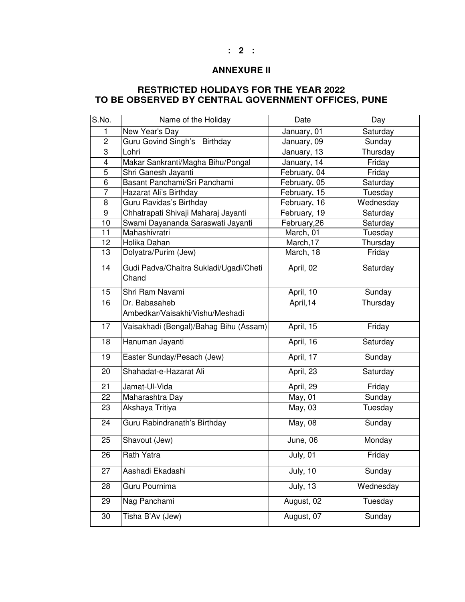## **ANNEXURE II**

## **RESTRICTED HOLIDAYS FOR THE YEAR 2022 TO BE OBSERVED BY CENTRAL GOVERNMENT OFFICES, PUNE**

| S.No.                   | Name of the Holiday                              | Date         | Day       |
|-------------------------|--------------------------------------------------|--------------|-----------|
| 1                       | New Year's Day                                   | January, 01  | Saturday  |
| $\overline{c}$          | Guru Govind Singh's Birthday                     | January, 09  | Sunday    |
| 3                       | Lohri                                            | January, 13  | Thursday  |
| $\overline{\mathbf{4}}$ | Makar Sankranti/Magha Bihu/Pongal                | January, 14  | Friday    |
| 5                       | Shri Ganesh Jayanti                              | February, 04 | Friday    |
| $\overline{6}$          | Basant Panchami/Sri Panchami                     | February, 05 | Saturday  |
| 7                       | Hazarat Ali's Birthday                           | February, 15 | Tuesday   |
| 8                       | Guru Ravidas's Birthday                          | February, 16 | Wednesday |
| 9                       | Chhatrapati Shivaji Maharaj Jayanti              | February, 19 | Saturday  |
| 10                      | Swami Dayananda Saraswati Jayanti                | February, 26 | Saturday  |
| 11                      | Mahashivratri                                    | March, 01    | Tuesday   |
| 12                      | Holika Dahan                                     | March, 17    | Thursday  |
| 13                      | Dolyatra/Purim (Jew)                             | March, 18    | Friday    |
| 14                      | Gudi Padva/Chaitra Sukladi/Ugadi/Cheti<br>Chand  | April, 02    | Saturday  |
| 15                      | Shri Ram Navami                                  | April, 10    | Sunday    |
| 16                      | Dr. Babasaheb<br>Ambedkar/Vaisakhi/Vishu/Meshadi | April, 14    | Thursday  |
| 17                      | Vaisakhadi (Bengal)/Bahag Bihu (Assam)           | April, 15    | Friday    |
|                         |                                                  |              |           |
| 18                      | Hanuman Jayanti                                  | April, 16    | Saturday  |
| 19                      | Easter Sunday/Pesach (Jew)                       | April, 17    | Sunday    |
| 20                      | Shahadat-e-Hazarat Ali                           | April, 23    | Saturday  |
| $\overline{21}$         | Jamat-UI-Vida                                    | April, 29    | Friday    |
| 22                      | Maharashtra Day                                  | May, 01      | Sunday    |
| 23                      | Akshaya Tritiya                                  | May, 03      | Tuesday   |
| 24                      | Guru Rabindranath's Birthday                     | May, 08      | Sunday    |
| 25                      | Shavout (Jew)                                    | June, 06     | Monday    |
| $\overline{26}$         | <b>Rath Yatra</b>                                | July, 01     | Friday    |
| 27                      | Aashadi Ekadashi                                 | July, $10$   | Sunday    |
| 28                      | Guru Pournima                                    | July, $13$   | Wednesday |
| 29                      | Nag Panchami                                     | August, 02   | Tuesday   |
| 30                      | Tisha B'Av (Jew)                                 | August, 07   | Sunday    |